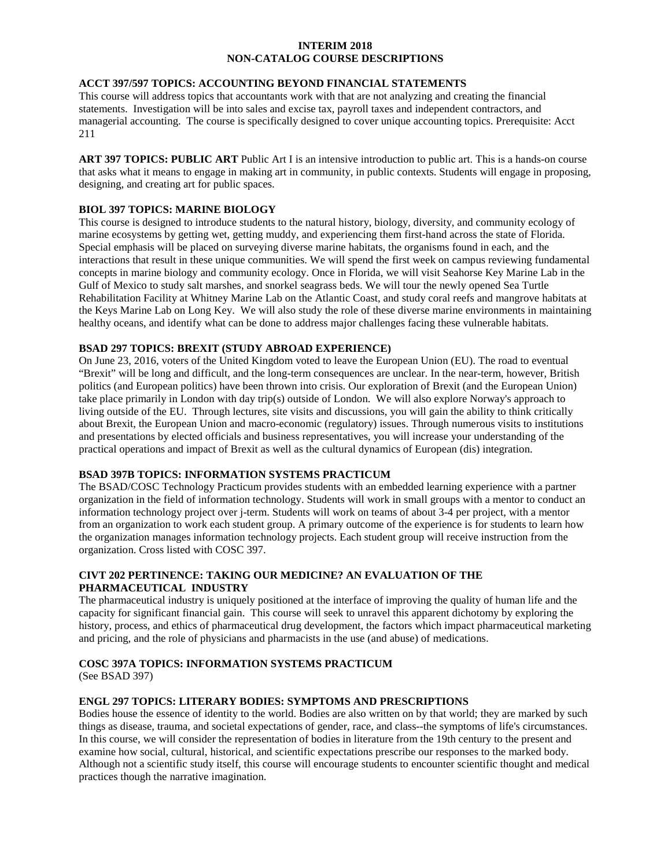### **INTERIM 2018 NON-CATALOG COURSE DESCRIPTIONS**

### **ACCT 397/597 TOPICS: ACCOUNTING BEYOND FINANCIAL STATEMENTS**

This course will address topics that accountants work with that are not analyzing and creating the financial statements. Investigation will be into sales and excise tax, payroll taxes and independent contractors, and managerial accounting. The course is specifically designed to cover unique accounting topics. Prerequisite: Acct 211

**ART 397 TOPICS: PUBLIC ART** Public Art I is an intensive introduction to public art. This is a hands-on course that asks what it means to engage in making art in community, in public contexts. Students will engage in proposing, designing, and creating art for public spaces.

#### **BIOL 397 TOPICS: MARINE BIOLOGY**

This course is designed to introduce students to the natural history, biology, diversity, and community ecology of marine ecosystems by getting wet, getting muddy, and experiencing them first-hand across the state of Florida. Special emphasis will be placed on surveying diverse marine habitats, the organisms found in each, and the interactions that result in these unique communities. We will spend the first week on campus reviewing fundamental concepts in marine biology and community ecology. Once in Florida, we will visit Seahorse Key Marine Lab in the Gulf of Mexico to study salt marshes, and snorkel seagrass beds. We will tour the newly opened Sea Turtle Rehabilitation Facility at Whitney Marine Lab on the Atlantic Coast, and study coral reefs and mangrove habitats at the Keys Marine Lab on Long Key. We will also study the role of these diverse marine environments in maintaining healthy oceans, and identify what can be done to address major challenges facing these vulnerable habitats.

#### **BSAD 297 TOPICS: BREXIT (STUDY ABROAD EXPERIENCE)**

On June 23, 2016, voters of the United Kingdom voted to leave the European Union (EU). The road to eventual "Brexit" will be long and difficult, and the long-term consequences are unclear. In the near-term, however, British politics (and European politics) have been thrown into crisis. Our exploration of Brexit (and the European Union) take place primarily in London with day trip(s) outside of London. We will also explore Norway's approach to living outside of the EU. Through lectures, site visits and discussions, you will gain the ability to think critically about Brexit, the European Union and macro-economic (regulatory) issues. Through numerous visits to institutions and presentations by elected officials and business representatives, you will increase your understanding of the practical operations and impact of Brexit as well as the cultural dynamics of European (dis) integration.

#### **BSAD 397B TOPICS: INFORMATION SYSTEMS PRACTICUM**

The BSAD/COSC Technology Practicum provides students with an embedded learning experience with a partner organization in the field of information technology. Students will work in small groups with a mentor to conduct an information technology project over j-term. Students will work on teams of about 3-4 per project, with a mentor from an organization to work each student group. A primary outcome of the experience is for students to learn how the organization manages information technology projects. Each student group will receive instruction from the organization. Cross listed with COSC 397.

### **CIVT 202 PERTINENCE: TAKING OUR MEDICINE? AN EVALUATION OF THE PHARMACEUTICAL INDUSTRY**

The pharmaceutical industry is uniquely positioned at the interface of improving the quality of human life and the capacity for significant financial gain. This course will seek to unravel this apparent dichotomy by exploring the history, process, and ethics of pharmaceutical drug development, the factors which impact pharmaceutical marketing and pricing, and the role of physicians and pharmacists in the use (and abuse) of medications.

# **COSC 397A TOPICS: INFORMATION SYSTEMS PRACTICUM**

(See BSAD 397)

#### **ENGL 297 TOPICS: LITERARY BODIES: SYMPTOMS AND PRESCRIPTIONS**

Bodies house the essence of identity to the world. Bodies are also written on by that world; they are marked by such things as disease, trauma, and societal expectations of gender, race, and class--the symptoms of life's circumstances. In this course, we will consider the representation of bodies in literature from the 19th century to the present and examine how social, cultural, historical, and scientific expectations prescribe our responses to the marked body. Although not a scientific study itself, this course will encourage students to encounter scientific thought and medical practices though the narrative imagination.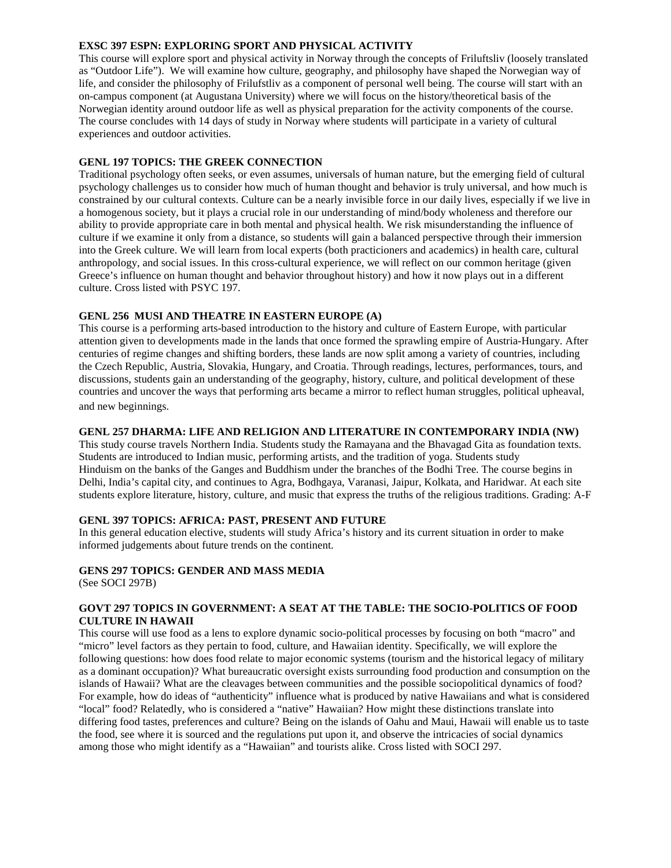#### **EXSC 397 ESPN: EXPLORING SPORT AND PHYSICAL ACTIVITY**

This course will explore sport and physical activity in Norway through the concepts of Friluftsliv (loosely translated as "Outdoor Life"). We will examine how culture, geography, and philosophy have shaped the Norwegian way of life, and consider the philosophy of Frilufstliv as a component of personal well being. The course will start with an on-campus component (at Augustana University) where we will focus on the history/theoretical basis of the Norwegian identity around outdoor life as well as physical preparation for the activity components of the course. The course concludes with 14 days of study in Norway where students will participate in a variety of cultural experiences and outdoor activities.

### **GENL 197 TOPICS: THE GREEK CONNECTION**

Traditional psychology often seeks, or even assumes, universals of human nature, but the emerging field of cultural psychology challenges us to consider how much of human thought and behavior is truly universal, and how much is constrained by our cultural contexts. Culture can be a nearly invisible force in our daily lives, especially if we live in a homogenous society, but it plays a crucial role in our understanding of mind/body wholeness and therefore our ability to provide appropriate care in both mental and physical health. We risk misunderstanding the influence of culture if we examine it only from a distance, so students will gain a balanced perspective through their immersion into the Greek culture. We will learn from local experts (both practicioners and academics) in health care, cultural anthropology, and social issues. In this cross-cultural experience, we will reflect on our common heritage (given Greece's influence on human thought and behavior throughout history) and how it now plays out in a different culture. Cross listed with PSYC 197.

#### **GENL 256 MUSI AND THEATRE IN EASTERN EUROPE (A)**

This course is a performing arts-based introduction to the history and culture of Eastern Europe, with particular attention given to developments made in the lands that once formed the sprawling empire of Austria-Hungary. After centuries of regime changes and shifting borders, these lands are now split among a variety of countries, including the Czech Republic, Austria, Slovakia, Hungary, and Croatia. Through readings, lectures, performances, tours, and discussions, students gain an understanding of the geography, history, culture, and political development of these countries and uncover the ways that performing arts became a mirror to reflect human struggles, political upheaval, and new beginnings.

#### **GENL 257 DHARMA: LIFE AND RELIGION AND LITERATURE IN CONTEMPORARY INDIA (NW)**

This study course travels Northern India. Students study the Ramayana and the Bhavagad Gita as foundation texts. Students are introduced to Indian music, performing artists, and the tradition of yoga. Students study Hinduism on the banks of the Ganges and Buddhism under the branches of the Bodhi Tree. The course begins in Delhi, India's capital city, and continues to Agra, Bodhgaya, Varanasi, Jaipur, Kolkata, and Haridwar. At each site students explore literature, history, culture, and music that express the truths of the religious traditions. Grading: A-F

#### **GENL 397 TOPICS: AFRICA: PAST, PRESENT AND FUTURE**

In this general education elective, students will study Africa's history and its current situation in order to make informed judgements about future trends on the continent.

#### **GENS 297 TOPICS: GENDER AND MASS MEDIA**

(See SOCI 297B)

### **GOVT 297 TOPICS IN GOVERNMENT: A SEAT AT THE TABLE: THE SOCIO-POLITICS OF FOOD CULTURE IN HAWAII**

This course will use food as a lens to explore dynamic socio-political processes by focusing on both "macro" and "micro" level factors as they pertain to food, culture, and Hawaiian identity. Specifically, we will explore the following questions: how does food relate to major economic systems (tourism and the historical legacy of military as a dominant occupation)? What bureaucratic oversight exists surrounding food production and consumption on the islands of Hawaii? What are the cleavages between communities and the possible sociopolitical dynamics of food? For example, how do ideas of "authenticity" influence what is produced by native Hawaiians and what is considered "local" food? Relatedly, who is considered a "native" Hawaiian? How might these distinctions translate into differing food tastes, preferences and culture? Being on the islands of Oahu and Maui, Hawaii will enable us to taste the food, see where it is sourced and the regulations put upon it, and observe the intricacies of social dynamics among those who might identify as a "Hawaiian" and tourists alike. Cross listed with SOCI 297.